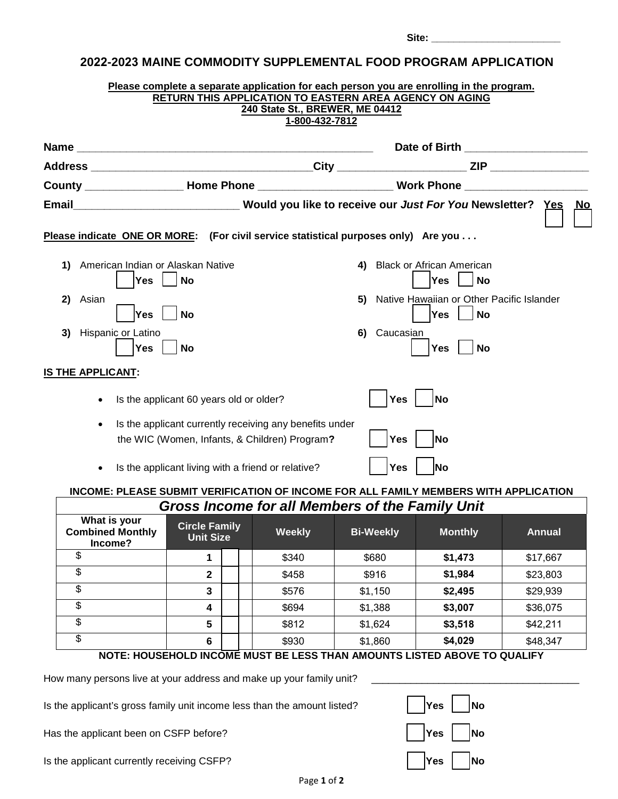| Please complete a separate application for each person you are enrolling in the program.<br>RETURN THIS APPLICATION TO EASTERN AREA AGENCY ON AGING<br>240 State St., BREWER, ME 04412<br>1-800-432-7812 |                                                                                                          |                                                                                                                |  |  |  |  |  |  |
|----------------------------------------------------------------------------------------------------------------------------------------------------------------------------------------------------------|----------------------------------------------------------------------------------------------------------|----------------------------------------------------------------------------------------------------------------|--|--|--|--|--|--|
|                                                                                                                                                                                                          |                                                                                                          | Date of Birth _____________________                                                                            |  |  |  |  |  |  |
|                                                                                                                                                                                                          |                                                                                                          |                                                                                                                |  |  |  |  |  |  |
|                                                                                                                                                                                                          |                                                                                                          |                                                                                                                |  |  |  |  |  |  |
|                                                                                                                                                                                                          |                                                                                                          | Email__________________________________Would you like to receive our Just For You Newsletter? Yes<br><b>No</b> |  |  |  |  |  |  |
|                                                                                                                                                                                                          | Please indicate ONE OR MORE: (For civil service statistical purposes only) Are you                       |                                                                                                                |  |  |  |  |  |  |
| 1)                                                                                                                                                                                                       | American Indian or Alaskan Native<br><b>No</b><br>Yes                                                    | <b>Black or African American</b><br>4)<br><b>Yes</b><br><b>No</b>                                              |  |  |  |  |  |  |
| 2)                                                                                                                                                                                                       | Asian<br>Yes<br><b>No</b>                                                                                | Native Hawaiian or Other Pacific Islander<br>5)<br><b>Yes</b><br><b>No</b>                                     |  |  |  |  |  |  |
| 3)                                                                                                                                                                                                       | Hispanic or Latino<br><b>No</b><br><b>Yes</b>                                                            | Caucasian<br>6)<br><b>No</b><br><b>Yes</b>                                                                     |  |  |  |  |  |  |
|                                                                                                                                                                                                          | <b>IS THE APPLICANT:</b>                                                                                 |                                                                                                                |  |  |  |  |  |  |
|                                                                                                                                                                                                          | Is the applicant 60 years old or older?                                                                  | <b>Yes</b><br><b>No</b>                                                                                        |  |  |  |  |  |  |
|                                                                                                                                                                                                          | Is the applicant currently receiving any benefits under<br>the WIC (Women, Infants, & Children) Program? | Yes<br>No                                                                                                      |  |  |  |  |  |  |
|                                                                                                                                                                                                          | Is the applicant living with a friend or relative?                                                       | Yes<br><b>No</b>                                                                                               |  |  |  |  |  |  |
|                                                                                                                                                                                                          | DI EARE RUDMIT VEDIEICATION OF INCOME EOD AL                                                             | EMDEDC WITH ADDI ICATION                                                                                       |  |  |  |  |  |  |

# **INCOME: PLEASE SUBMIT VERIFICATION OF INCOME FOR ALL FAMILY MEMBERS WITH APPLICATION** *Gross Income for all Members of the Family Unit*

| <u>UNUS MICUMENUM QILIMENDE SULTIME L'ANINI VINT</u> |                                   |  |               |                  |                |               |  |  |
|------------------------------------------------------|-----------------------------------|--|---------------|------------------|----------------|---------------|--|--|
| What is your<br><b>Combined Monthly</b><br>Income?   | <b>Circle Family</b><br>Unit Size |  | <b>Weekly</b> | <b>Bi-Weekly</b> | <b>Monthly</b> | <b>Annual</b> |  |  |
|                                                      |                                   |  | \$340         | \$680            | \$1,473        | \$17,667      |  |  |
|                                                      | 2                                 |  | \$458         | \$916            | \$1,984        | \$23,803      |  |  |
|                                                      | 3                                 |  | \$576         | \$1,150          | \$2,495        | \$29,939      |  |  |
|                                                      | 4                                 |  | \$694         | \$1,388          | \$3,007        | \$36,075      |  |  |
| J                                                    | 5                                 |  | \$812         | \$1,624          | \$3,518        | \$42,211      |  |  |
|                                                      | 6                                 |  | \$930         | \$1,860          | \$4,029        | \$48,347      |  |  |

# **NOTE: HOUSEHOLD INCOME MUST BE LESS THAN AMOUNTS LISTED ABOVE TO QUALIFY**

How many persons live at your address and make up your family unit? \_\_

Is the applicant's gross family unit income less than the amount listed?

Has the applicant been on CSFP before?

Is the applicant currently receiving CSFP?

| Yes                         | <b>No</b> |
|-----------------------------|-----------|
| $ {\tt Yes}^{\phantom{1}} $ | No        |
| Yes                         | No        |

**Site: \_\_\_\_\_\_\_\_\_\_\_\_\_\_\_\_\_\_\_\_\_\_\_**